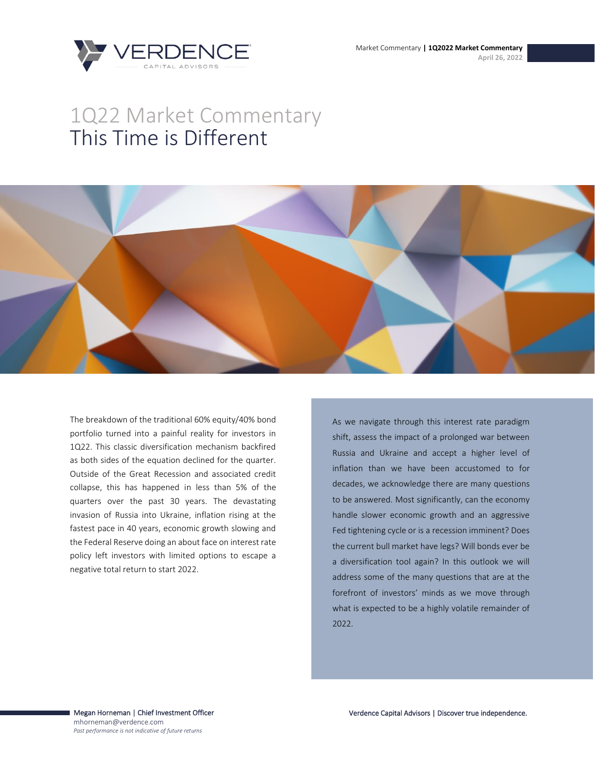

# 1Q22 Market Commentary This Time is Different



The breakdown of the traditional 60% equity/40% bond portfolio turned into a painful reality for investors in 1Q22. This classic diversification mechanism backfired as both sides of the equation declined for the quarter. Outside of the Great Recession and associated credit collapse, this has happened in less than 5% of the quarters over the past 30 years. The devastating invasion of Russia into Ukraine, inflation rising at the fastest pace in 40 years, economic growth slowing and the Federal Reserve doing an about face on interest rate policy left investors with limited options to escape a negative total return to start 2022.

As we navigate through this interest rate paradigm shift, assess the impact of a prolonged war between Russia and Ukraine and accept a higher level of inflation than we have been accustomed to for decades, we acknowledge there are many questions to be answered. Most significantly, can the economy handle slower economic growth and an aggressive Fed tightening cycle or is a recession imminent? Does the current bull market have legs? Will bonds ever be a diversification tool again? In this outlook we will address some of the many questions that are at the forefront of investors' minds as we move through what is expected to be a highly volatile remainder of 2022.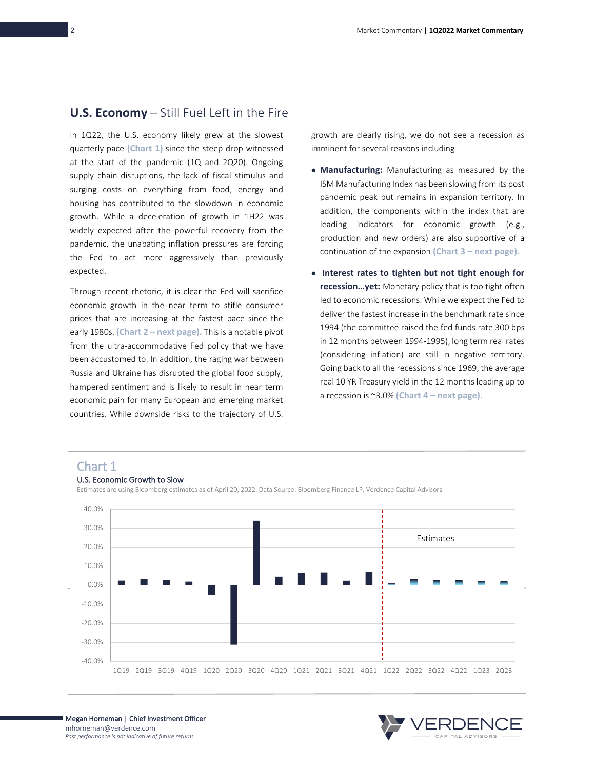### **U.S. Economy** – Still Fuel Left in the Fire

In 1Q22, the U.S. economy likely grew at the slowest quarterly pace **(Chart 1)** since the steep drop witnessed at the start of the pandemic (1Q and 2Q20). Ongoing supply chain disruptions, the lack of fiscal stimulus and surging costs on everything from food, energy and housing has contributed to the slowdown in economic growth. While a deceleration of growth in 1H22 was widely expected after the powerful recovery from the pandemic, the unabating inflation pressures are forcing the Fed to act more aggressively than previously expected.

Through recent rhetoric, it is clear the Fed will sacrifice economic growth in the near term to stifle consumer prices that are increasing at the fastest pace since the early 1980s. **(Chart 2 – next page).** This is a notable pivot from the ultra-accommodative Fed policy that we have been accustomed to. In addition, the raging war between Russia and Ukraine has disrupted the global food supply, hampered sentiment and is likely to result in near term economic pain for many European and emerging market countries. While downside risks to the trajectory of U.S.

growth are clearly rising, we do not see a recession as imminent for several reasons including

- **Manufacturing:** Manufacturing as measured by the ISM Manufacturing Index has been slowing from its post pandemic peak but remains in expansion territory. In addition, the components within the index that are leading indicators for economic growth (e.g., production and new orders) are also supportive of a continuation of the expansion **(Chart 3 – next page).**
- **Interest rates to tighten but not tight enough for recession…yet:** Monetary policy that is too tight often led to economic recessions. While we expect the Fed to deliver the fastest increase in the benchmark rate since 1994 (the committee raised the fed funds rate 300 bps in 12 months between 1994-1995), long term real rates (considering inflation) are still in negative territory. Going back to all the recessions since 1969, the average real 10 YR Treasury yield in the 12 months leading up to a recession is ~3.0% **(Chart 4 – next page).**

### Chart 1



#### U.S. Economic Growth to Slow

Estimates are using Bloomberg estimates as of April 20, 2022. Data Source: Bloomberg Finance LP, Verdence Capital Advisors

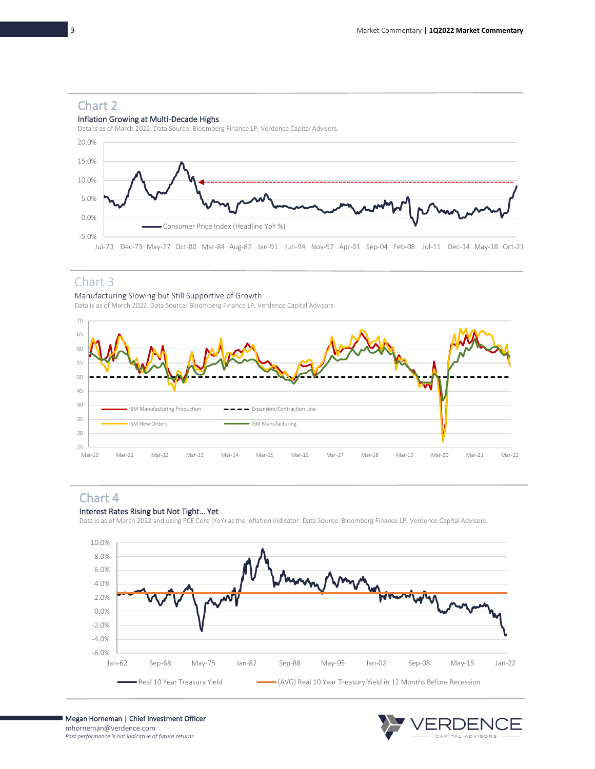## Chart 2

### Inflation Growing at Multi-Decade Highs

Data is as of March 2022. Data Source: Bloomberg Finance LP, Verdence Capital Advisors.



### Chart 3

### Manufacturing Slowing but Still Supportive of Growth

Data is as of March 2022. Data Source: Bloomberg Finance LP, Verdence Capital Advisors



## Chart 4

### Interest Rates Rising but Not Tight… Yet

Data is as of March 2022 and using PCE Core (YoY) as the inflation indicator. Data Source: Bloomberg Finance LP, Verdence Capital Advisors.



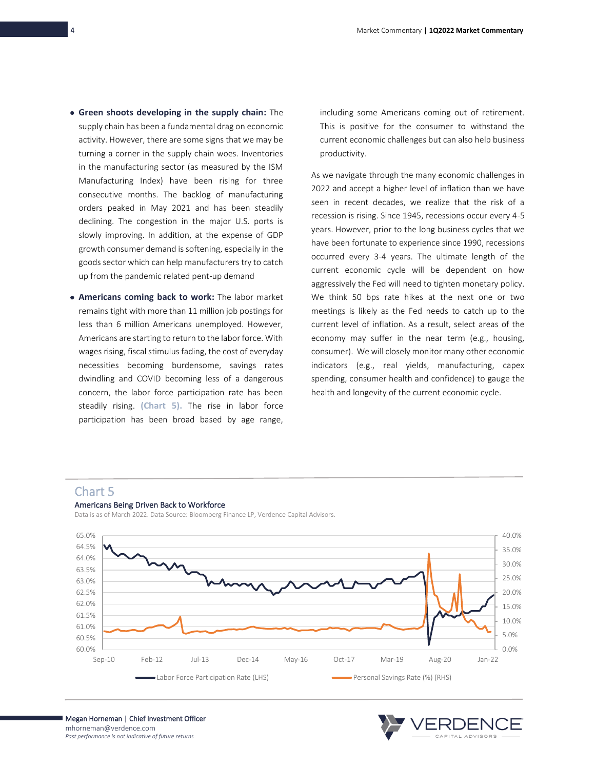- **Green shoots developing in the supply chain:** The supply chain has been a fundamental drag on economic activity. However, there are some signs that we may be turning a corner in the supply chain woes. Inventories in the manufacturing sector (as measured by the ISM Manufacturing Index) have been rising for three consecutive months. The backlog of manufacturing orders peaked in May 2021 and has been steadily declining. The congestion in the major U.S. ports is slowly improving. In addition, at the expense of GDP growth consumer demand is softening, especially in the goods sector which can help manufacturers try to catch up from the pandemic related pent-up demand
- **Americans coming back to work:** The labor market remains tight with more than 11 million job postings for less than 6 million Americans unemployed. However, Americans are starting to return to the labor force. With wages rising, fiscal stimulus fading, the cost of everyday necessities becoming burdensome, savings rates dwindling and COVID becoming less of a dangerous concern, the labor force participation rate has been steadily rising. **(Chart 5).** The rise in labor force participation has been broad based by age range,

including some Americans coming out of retirement. This is positive for the consumer to withstand the current economic challenges but can also help business productivity.

As we navigate through the many economic challenges in 2022 and accept a higher level of inflation than we have seen in recent decades, we realize that the risk of a recession is rising. Since 1945, recessions occur every 4-5 years. However, prior to the long business cycles that we have been fortunate to experience since 1990, recessions occurred every 3-4 years. The ultimate length of the current economic cycle will be dependent on how aggressively the Fed will need to tighten monetary policy. We think 50 bps rate hikes at the next one or two meetings is likely as the Fed needs to catch up to the current level of inflation. As a result, select areas of the economy may suffer in the near term (e.g., housing, consumer). We will closely monitor many other economic indicators (e.g., real yields, manufacturing, capex spending, consumer health and confidence) to gauge the health and longevity of the current economic cycle.

### Chart 5



Americans Being Driven Back to Workforce Data is as of March 2022. Data Source: Bloomberg Finance LP, Verdence Capital Advisors.

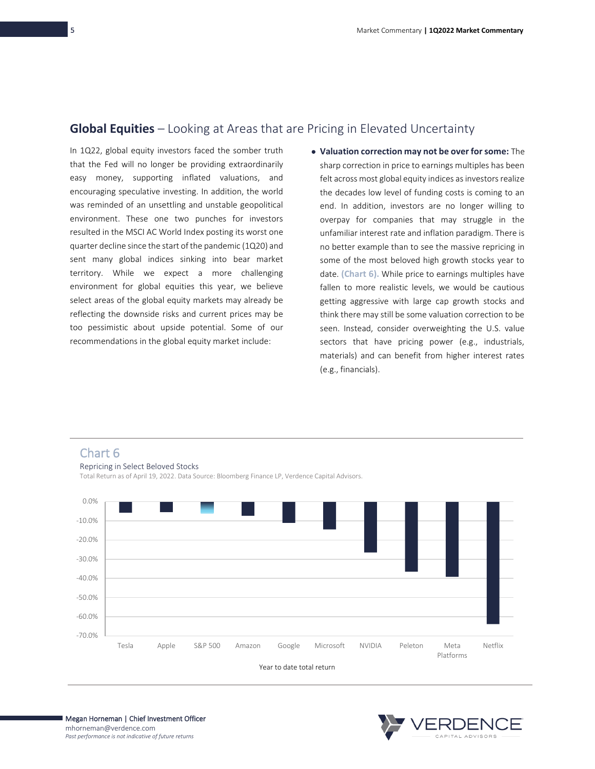### **Global Equities** – Looking at Areas that are Pricing in Elevated Uncertainty

In 1Q22, global equity investors faced the somber truth that the Fed will no longer be providing extraordinarily easy money, supporting inflated valuations, and encouraging speculative investing. In addition, the world was reminded of an unsettling and unstable geopolitical environment. These one two punches for investors resulted in the MSCI AC World Index posting its worst one quarter decline since the start of the pandemic (1Q20) and sent many global indices sinking into bear market territory. While we expect a more challenging environment for global equities this year, we believe select areas of the global equity markets may already be reflecting the downside risks and current prices may be too pessimistic about upside potential. Some of our recommendations in the global equity market include:

• **Valuation correction may not be over for some:** The sharp correction in price to earnings multiples has been felt across most global equity indices as investors realize the decades low level of funding costs is coming to an end. In addition, investors are no longer willing to overpay for companies that may struggle in the unfamiliar interest rate and inflation paradigm. There is no better example than to see the massive repricing in some of the most beloved high growth stocks year to date. **(Chart 6).** While price to earnings multiples have fallen to more realistic levels, we would be cautious getting aggressive with large cap growth stocks and think there may still be some valuation correction to be seen. Instead, consider overweighting the U.S. value sectors that have pricing power (e.g., industrials, materials) and can benefit from higher interest rates (e.g., financials).



:RDEN(

Megan Horneman | Chief Investment Officer mhorneman@verdence.com *Past performance is not indicative of future returns*

Chart 6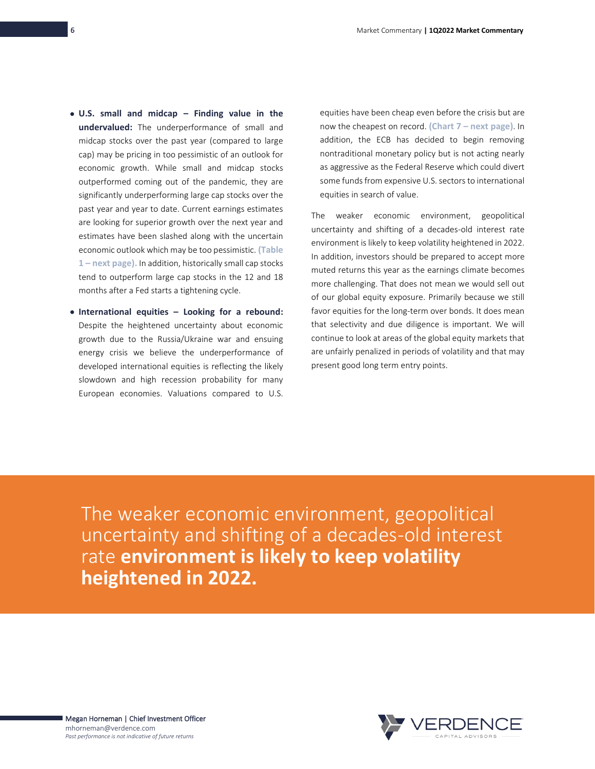- **U.S. small and midcap – Finding value in the undervalued:** The underperformance of small and midcap stocks over the past year (compared to large cap) may be pricing in too pessimistic of an outlook for economic growth. While small and midcap stocks outperformed coming out of the pandemic, they are significantly underperforming large cap stocks over the past year and year to date. Current earnings estimates are looking for superior growth over the next year and estimates have been slashed along with the uncertain economic outlook which may be too pessimistic. **(Table 1 – next page).** In addition, historically small cap stocks tend to outperform large cap stocks in the 12 and 18 months after a Fed starts a tightening cycle.
- **International equities – Looking for a rebound:** Despite the heightened uncertainty about economic growth due to the Russia/Ukraine war and ensuing energy crisis we believe the underperformance of developed international equities is reflecting the likely slowdown and high recession probability for many European economies. Valuations compared to U.S.

equities have been cheap even before the crisis but are now the cheapest on record. **(Chart 7 – next page)**. In addition, the ECB has decided to begin removing nontraditional monetary policy but is not acting nearly as aggressive as the Federal Reserve which could divert some funds from expensive U.S. sectors to international equities in search of value.

The weaker economic environment, geopolitical uncertainty and shifting of a decades-old interest rate environment is likely to keep volatility heightened in 2022. In addition, investors should be prepared to accept more muted returns this year as the earnings climate becomes more challenging. That does not mean we would sell out of our global equity exposure. Primarily because we still favor equities for the long-term over bonds. It does mean that selectivity and due diligence is important. We will continue to look at areas of the global equity markets that are unfairly penalized in periods of volatility and that may present good long term entry points.

The weaker economic environment, geopolitical uncertainty and shifting of a decades-old interest rate **environment is likely to keep volatility heightened in 2022.**

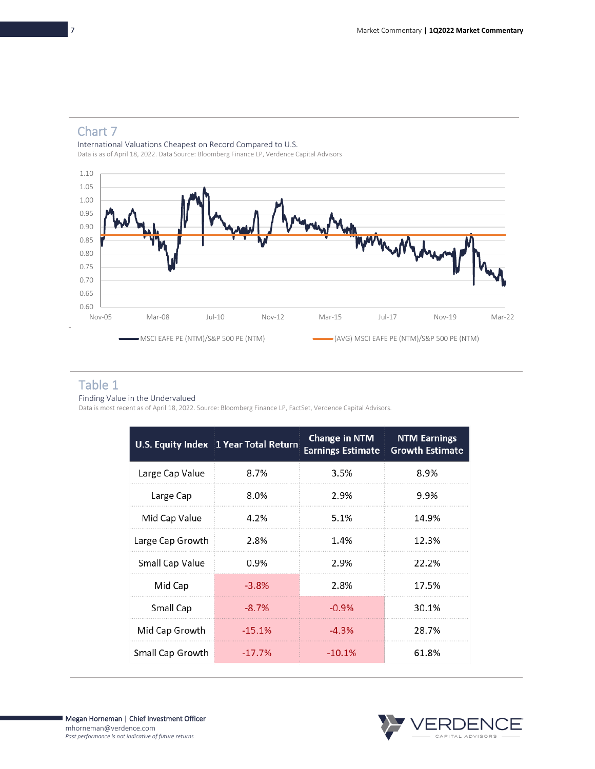# Chart 7

International Valuations Cheapest on Record Compared to U.S. Data is as of April 18, 2022. Data Source: Bloomberg Finance LP, Verdence Capital Advisors



### Table 1

Finding Value in the Undervalued

Data is most recent as of April 18, 2022. Source: Bloomberg Finance LP, FactSet, Verdence Capital Advisors.

|                  | U.S. Equity Index 1 Year Total Return | <b>Change in NTM</b><br><b>Earnings Estimate</b> | <b>NTM Earnings</b><br><b>Growth Estimate</b> |
|------------------|---------------------------------------|--------------------------------------------------|-----------------------------------------------|
| Large Cap Value  | 8.7%                                  | 3.5%                                             | 8.9%                                          |
| Large Cap        | 8.0%                                  | 2.9%                                             | 9.9%                                          |
| Mid Cap Value    | 4.2%                                  | 5.1%                                             | 14.9%                                         |
| Large Cap Growth | 2.8%                                  | 1.4%                                             | 12.3%                                         |
| Small Cap Value  | $0.9\%$                               | 2.9%                                             | 22.2%                                         |
| Mid Cap          | $-3.8%$                               | 2.8%                                             | 17.5%                                         |
| Small Cap        | $-8.7%$                               | $-0.9%$                                          | 30.1%                                         |
| Mid Cap Growth   | $-15.1%$                              | $-4.3%$                                          | 28.7%                                         |
| Small Cap Growth | $-17.7%$                              | $-10.1%$                                         | 61.8%                                         |

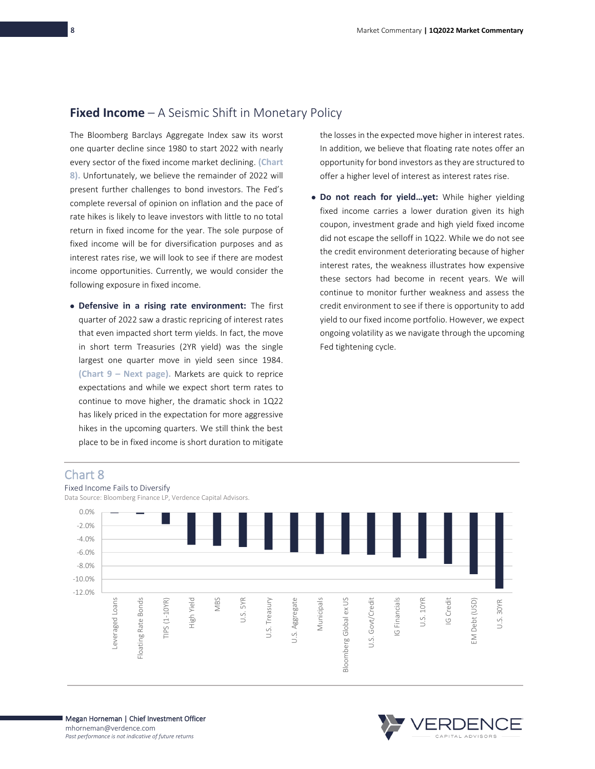### **Fixed Income** – A Seismic Shift in Monetary Policy

The Bloomberg Barclays Aggregate Index saw its worst one quarter decline since 1980 to start 2022 with nearly every sector of the fixed income market declining. **(Chart 8).** Unfortunately, we believe the remainder of 2022 will present further challenges to bond investors. The Fed's complete reversal of opinion on inflation and the pace of rate hikes is likely to leave investors with little to no total return in fixed income for the year. The sole purpose of fixed income will be for diversification purposes and as interest rates rise, we will look to see if there are modest income opportunities. Currently, we would consider the following exposure in fixed income.

• **Defensive in a rising rate environment:** The first quarter of 2022 saw a drastic repricing of interest rates that even impacted short term yields. In fact, the move in short term Treasuries (2YR yield) was the single largest one quarter move in yield seen since 1984. **(Chart 9 – Next page).** Markets are quick to reprice expectations and while we expect short term rates to continue to move higher, the dramatic shock in 1Q22 has likely priced in the expectation for more aggressive hikes in the upcoming quarters. We still think the best place to be in fixed income is short duration to mitigate

the losses in the expected move higher in interest rates. In addition, we believe that floating rate notes offer an opportunity for bond investors as they are structured to offer a higher level of interest as interest rates rise.

• **Do not reach for yield…yet:** While higher yielding fixed income carries a lower duration given its high coupon, investment grade and high yield fixed income did not escape the selloff in 1Q22. While we do not see the credit environment deteriorating because of higher interest rates, the weakness illustrates how expensive these sectors had become in recent years. We will continue to monitor further weakness and assess the credit environment to see if there is opportunity to add yield to our fixed income portfolio. However, we expect ongoing volatility as we navigate through the upcoming Fed tightening cycle.

### Chart 8



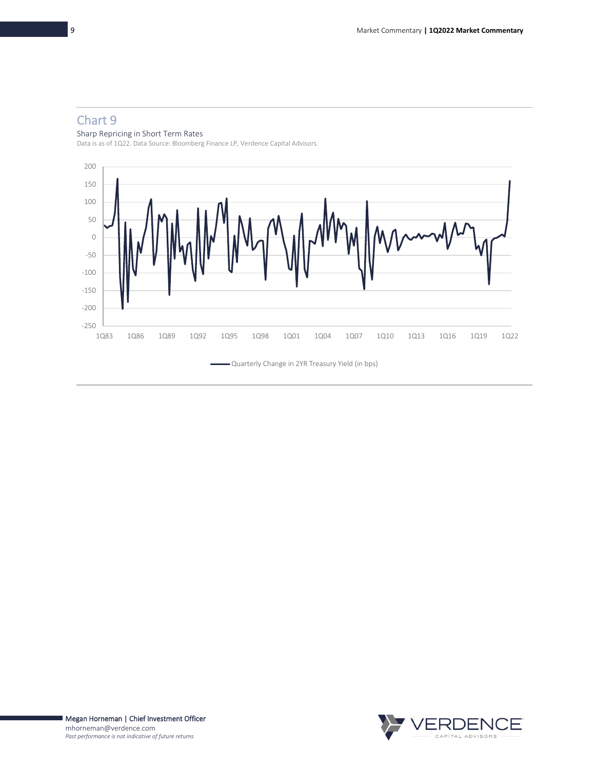# Chart 9

### Sharp Repricing in Short Term Rates

Data is as of 1Q22. Data Source: Bloomberg Finance LP, Verdence Capital Advisors.



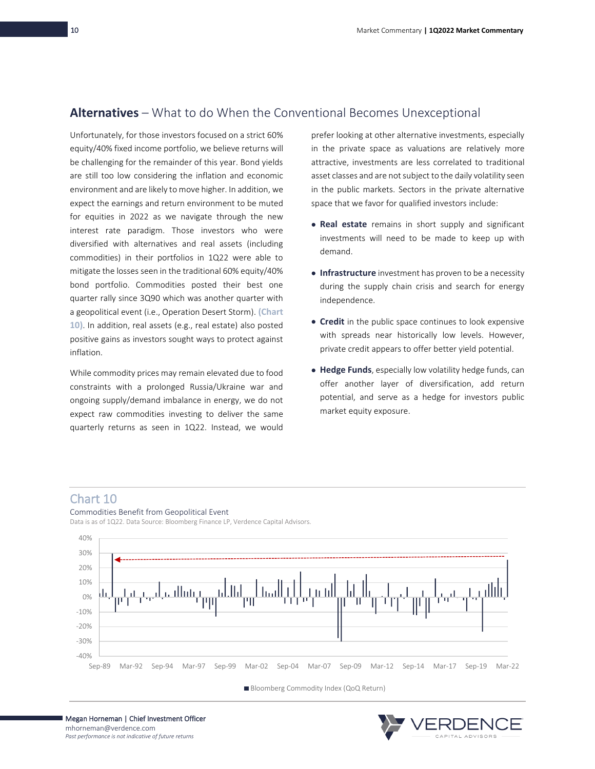## **Alternatives** – What to do When the Conventional Becomes Unexceptional

Unfortunately, for those investors focused on a strict 60% equity/40% fixed income portfolio, we believe returns will be challenging for the remainder of this year. Bond yields are still too low considering the inflation and economic environment and are likely to move higher. In addition, we expect the earnings and return environment to be muted for equities in 2022 as we navigate through the new interest rate paradigm. Those investors who were diversified with alternatives and real assets (including commodities) in their portfolios in 1Q22 were able to mitigate the losses seen in the traditional 60% equity/40% bond portfolio. Commodities posted their best one quarter rally since 3Q90 which was another quarter with a geopolitical event (i.e., Operation Desert Storm). **(Chart 10)**. In addition, real assets (e.g., real estate) also posted positive gains as investors sought ways to protect against inflation.

While commodity prices may remain elevated due to food constraints with a prolonged Russia/Ukraine war and ongoing supply/demand imbalance in energy, we do not expect raw commodities investing to deliver the same quarterly returns as seen in 1Q22. Instead, we would

prefer looking at other alternative investments, especially in the private space as valuations are relatively more attractive, investments are less correlated to traditional asset classes and are not subject to the daily volatility seen in the public markets. Sectors in the private alternative space that we favor for qualified investors include:

- **Real estate** remains in short supply and significant investments will need to be made to keep up with demand.
- **Infrastructure** investment has proven to be a necessity during the supply chain crisis and search for energy independence.
- **Credit** in the public space continues to look expensive with spreads near historically low levels. However, private credit appears to offer better yield potential.
- **Hedge Funds**, especially low volatility hedge funds, can offer another layer of diversification, add return potential, and serve as a hedge for investors public market equity exposure.

### Chart 10

Commodities Benefit from Geopolitical Event

Data is as of 1Q22. Data Source: Bloomberg Finance LP, Verdence Capital Advisors.



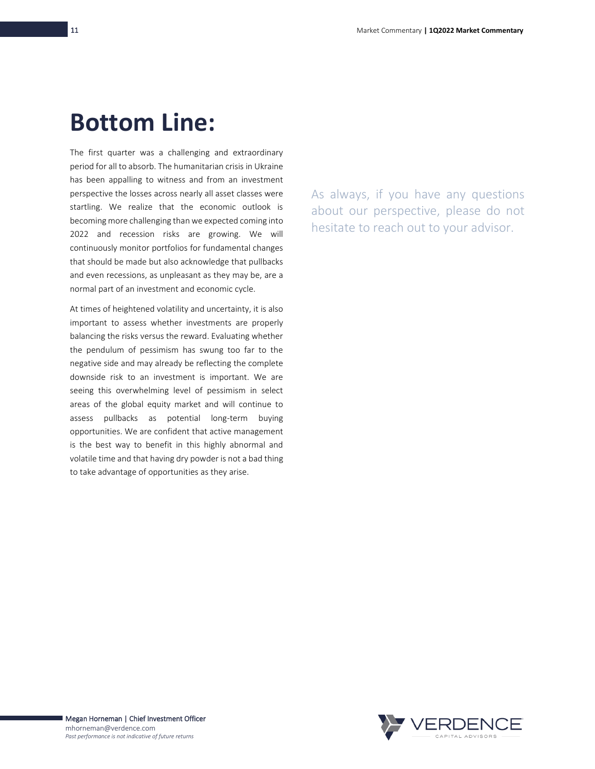# **Bottom Line:**

The first quarter was a challenging and extraordinary period for all to absorb. The humanitarian crisis in Ukraine has been appalling to witness and from an investment perspective the losses across nearly all asset classes were startling. We realize that the economic outlook is becoming more challenging than we expected coming into 2022 and recession risks are growing. We will continuously monitor portfolios for fundamental changes that should be made but also acknowledge that pullbacks and even recessions, as unpleasant as they may be, are a normal part of an investment and economic cycle.

At times of heightened volatility and uncertainty, it is also important to assess whether investments are properly balancing the risks versus the reward. Evaluating whether the pendulum of pessimism has swung too far to the negative side and may already be reflecting the complete downside risk to an investment is important. We are seeing this overwhelming level of pessimism in select areas of the global equity market and will continue to assess pullbacks as potential long-term buying opportunities. We are confident that active management is the best way to benefit in this highly abnormal and volatile time and that having dry powder is not a bad thing to take advantage of opportunities as they arise.

As always, if you have any questions about our perspective, please do not hesitate to reach out to your advisor.